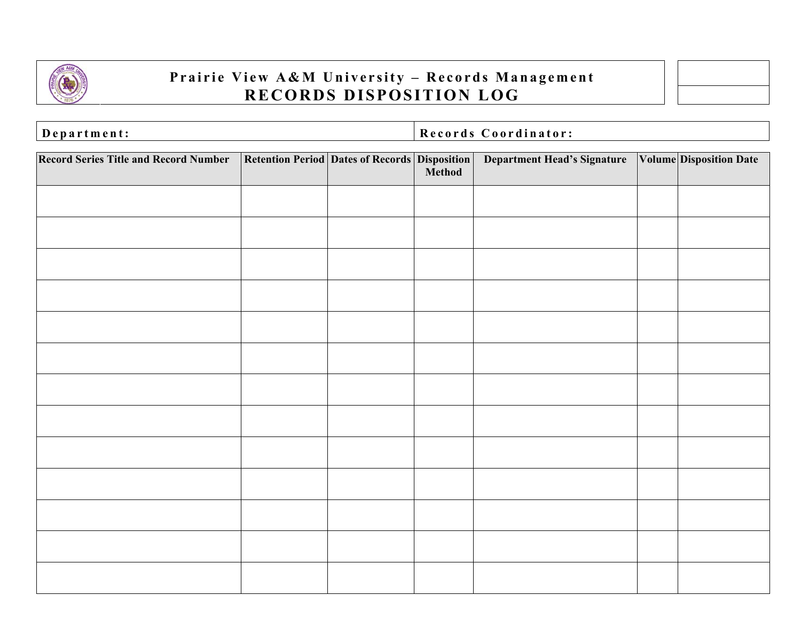

## **Prairie View A&M University - Records Management RECORDS DISPOSITION LOG**



| Department: | Records Coordinator: |
|-------------|----------------------|

| <b>Record Series Title and Record Number</b> | Retention Period Dates of Records Disposition | <b>Department Head's Signature</b> | <b>Volume Disposition Date</b> |
|----------------------------------------------|-----------------------------------------------|------------------------------------|--------------------------------|
|                                              |                                               |                                    |                                |
|                                              |                                               |                                    |                                |
|                                              |                                               |                                    |                                |
|                                              |                                               |                                    |                                |
|                                              |                                               |                                    |                                |
|                                              |                                               |                                    |                                |
|                                              |                                               |                                    |                                |
|                                              |                                               |                                    |                                |
|                                              |                                               |                                    |                                |
|                                              |                                               |                                    |                                |
|                                              |                                               |                                    |                                |
|                                              |                                               |                                    |                                |
|                                              |                                               |                                    |                                |